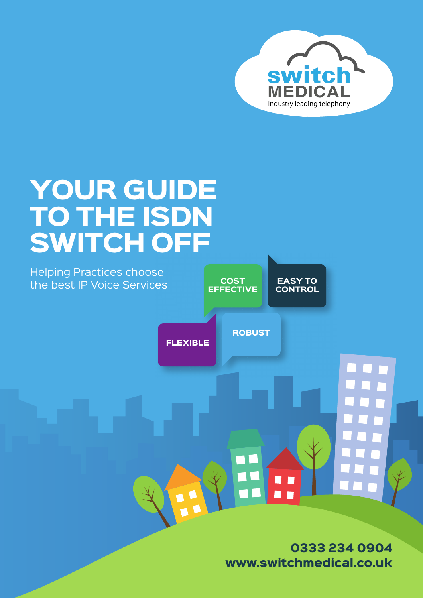

## YOUR GUIDE TO THE ISDN SWITCH OFF



0333 234 0904 www.switchmedical.co.uk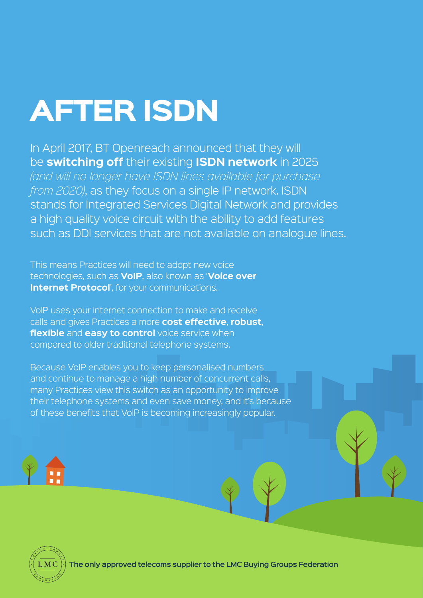# AFTER ISDN

In April 2017, BT Openreach announced that they will be **switching off** their existing **ISDN network** in 2025 *(and will no longer have ISDN lines available for purchase from 2020)*, as they focus on a single IP network. ISDN stands for Integrated Services Digital Network and provides a high quality voice circuit with the ability to add features such as DDI services that are not available on analogue lines.

This means Practices will need to adopt new voice technologies, such as **VoIP**, also known as '**Voice over Internet Protocol'**, for your communications.

VoIP uses your internet connection to make and receive calls and gives Practices a more **cost effective**, **robust**, **flexible** and **easy to control** voice service when compared to older traditional telephone systems.

Because VoIP enables you to keep personalised numbers and continue to manage a high number of concurrent calls, many Practices view this switch as an opportunity to improve their telephone systems and even save money, and it's because of these benefits that VoIP is becoming increasingly popular.



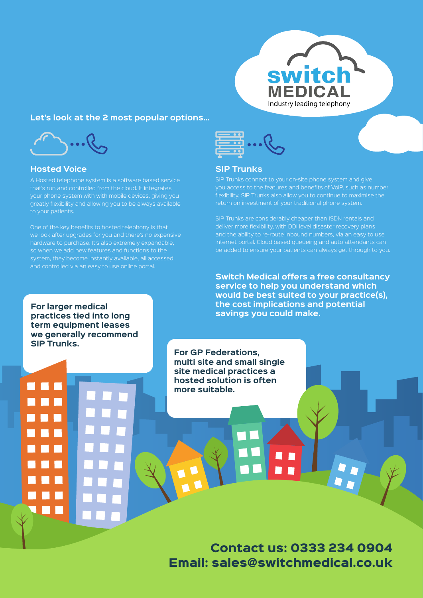

#### **Let's look at the 2 most popular options…**



#### **Hosted Voice**

that's run and controlled from the cloud. It integrates your phone system with with mobile devices, giving you greatly flexibility and allowing you to be always available to your patients.

One of the key benefits to hosted telephony is that we look after upgrades for you and there's no expensive hardware to purchase. It's also extremely expandable, so when we add new features and functions to the system, they become instantly available, all accessed and controlled via an easy to use online portal.



#### **SIP Trunks**

SIP Trunks connect to your on-site phone system and give you access to the features and benefits of VoIP, such as number flexibility. SIP Trunks also allow you to continue to maximise the return on investment of your traditional phone system.

SIP Trunks are considerably cheaper than ISDN rentals and deliver more flexibility, with DDI level disaster recovery plans and the ability to re-route inbound numbers, via an easy to use internet portal. Cloud based queueing and auto attendants can be added to ensure your patients can always get through to you.

**Switch Medical offers a free consultancy service to help you understand which would be best suited to your practice(s), the cost implications and potential savings you could make.**

**For larger medical practices tied into long term equipment leases we generally recommend SIP Trunks.**

> **For GP Federations, multi site and small single site medical practices a hosted solution is often more suitable.**

Contact us: 0333 234 0904 Email: sales@switchmedical.co.uk